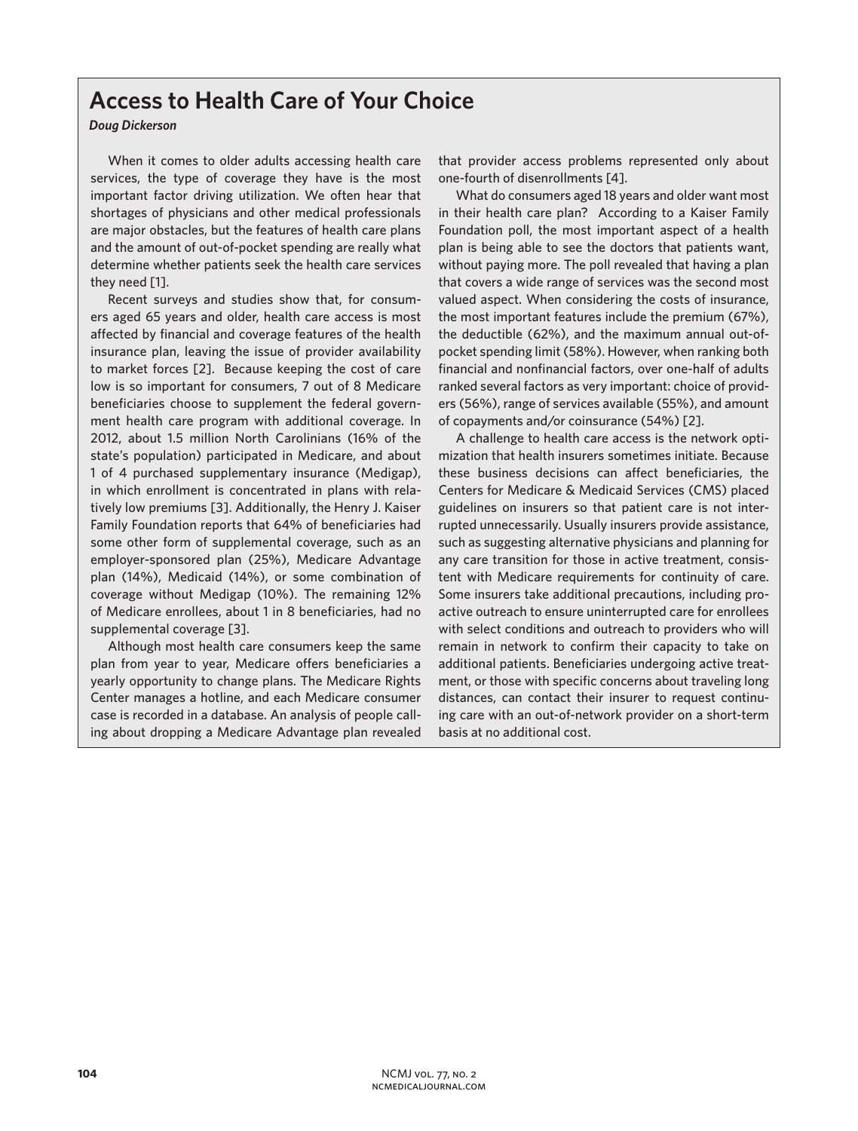## **Access to Health Care of Your Choice**

## *Doug Dickerson*

When it comes to older adults accessing health care services, the type of coverage they have is the most important factor driving utilization. We often hear that shortages of physicians and other medical professionals are major obstacles, but the features of health care plans and the amount of out-of-pocket spending are really what determine whether patients seek the health care services they need [1].

Recent surveys and studies show that, for consumers aged 65 years and older, health care access is most affected by financial and coverage features of the health insurance plan, leaving the issue of provider availability to market forces [2]. Because keeping the cost of care low is so important for consumers, 7 out of 8 Medicare beneficiaries choose to supplement the federal government health care program with additional coverage. In 2012, about 1.5 million North Carolinians (16% of the state's population) participated in Medicare, and about 1 of 4 purchased supplementary insurance (Medigap), in which enrollment is concentrated in plans with relatively low premiums [3]. Additionally, the Henry J. Kaiser Family Foundation reports that 64% of beneficiaries had some other form of supplemental coverage, such as an employer-sponsored plan (25%), Medicare Advantage plan (14%), Medicaid (14%), or some combination of coverage without Medigap (10%). The remaining 12% of Medicare enrollees, about 1 in 8 beneficiaries, had no supplemental coverage [3].

Although most health care consumers keep the same plan from year to year, Medicare offers beneficiaries a yearly opportunity to change plans. The Medicare Rights Center manages a hotline, and each Medicare consumer case is recorded in a database. An analysis of people calling about dropping a Medicare Advantage plan revealed

that provider access problems represented only about one-fourth of disenrollments [4].

What do consumers aged 18 years and older want most in their health care plan? According to a Kaiser Family Foundation poll, the most important aspect of a health plan is being able to see the doctors that patients want, without paying more. The poll revealed that having a plan that covers a wide range of services was the second most valued aspect. When considering the costs of insurance, the most important features include the premium (67%), the deductible (62%), and the maximum annual out-ofpocket spending limit (58%). However, when ranking both financial and nonfinancial factors, over one-half of adults ranked several factors as very important: choice of providers (56%), range of services available (55%), and amount of copayments and/or coinsurance (54%) [2].

A challenge to health care access is the network optimization that health insurers sometimes initiate. Because these business decisions can affect beneficiaries, the Centers for Medicare & Medicaid Services (CMS) placed guidelines on insurers so that patient care is not interrupted unnecessarily. Usually insurers provide assistance, such as suggesting alternative physicians and planning for any care transition for those in active treatment, consistent with Medicare requirements for continuity of care. Some insurers take additional precautions, including proactive outreach to ensure uninterrupted care for enrollees with select conditions and outreach to providers who will remain in network to confirm their capacity to take on additional patients. Beneficiaries undergoing active treatment, or those with specific concerns about traveling long distances, can contact their insurer to request continuing care with an out-of-network provider on a short-term basis at no additional cost.